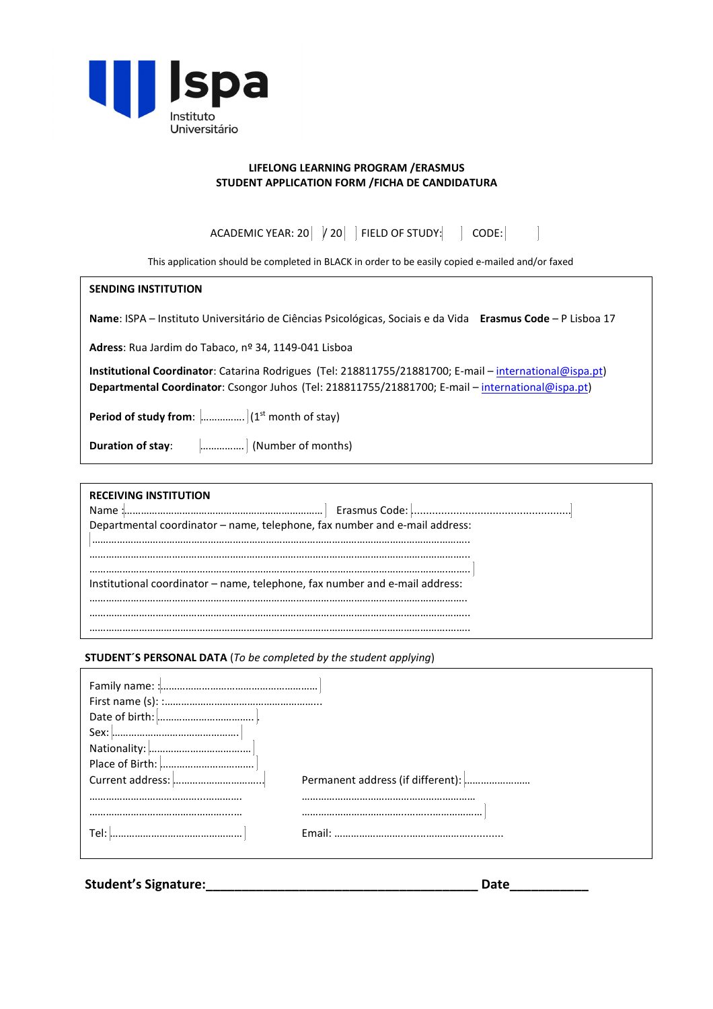

## **LIFELONG LEARNING PROGRAM /ERASMUS STUDENT APPLICATION FORM /FICHA DE CANDIDATURA**

ACADEMIC YEAR: 20  $\mid$  / 20  $\mid$  FIELD OF STUDY:  $\mid$  CODE:  $\Box$ 

This application should be completed in BLACK in order to be easily copied e-mailed and/or faxed

### **SENDING INSTITUTION**

**Name**: ISPA – Instituto Universitário de Ciências Psicológicas, Sociais e da Vida **Erasmus Code** – P Lisboa 17

**Adress**: Rua Jardim do Tabaco, nº 34, 1149-041 Lisboa

**Institutional Coordinator**: Catarina Rodrigues (Tel: 218811755/21881700; E-mail – international@ispa.pt) **Departmental Coordinator**: Csongor Juhos (Tel: 218811755/21881700; E-mail – international@ispa.pt)

**Period of study from:**  $\left[\ldots\right]$  (1st month of stay)

**Duration of stay:**  $\quad \quad \dots \dots \dots \quad$  (Number of months)

| <b>RECEIVING INSTITUTION</b><br>Name :.<br>Departmental coordinator - name, telephone, fax number and e-mail address: |
|-----------------------------------------------------------------------------------------------------------------------|
| Institutional coordinator - name, telephone, fax number and e-mail address:                                           |
|                                                                                                                       |

#### **STUDENT´S PERSONAL DATA** (*To be completed by the student applying*)

| Tel: |  |
|------|--|
|      |  |
|      |  |

**Student's Signature:\_\_\_\_\_\_\_\_\_\_\_\_\_\_\_\_\_\_\_\_\_\_\_\_\_\_\_\_\_\_\_\_\_\_\_\_\_\_ Date\_\_\_\_\_\_\_\_\_\_\_**